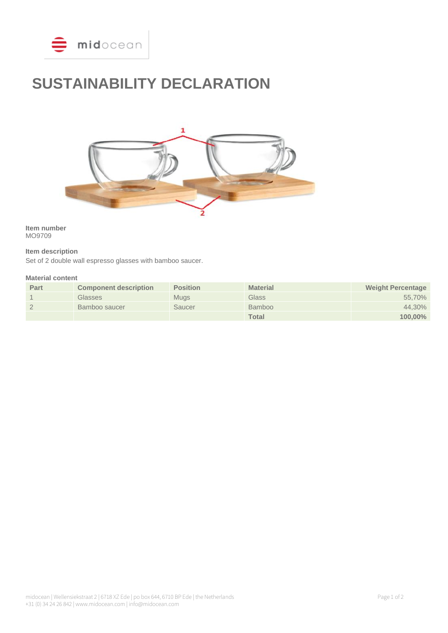

# **SUSTAINABILITY DECLARATION**



**Item number** MO9709

# **Item description**

Set of 2 double wall espresso glasses with bamboo saucer.

## **Material content**

| Part | <b>Component description</b> | <b>Position</b> | <b>Material</b> | <b>Weight Percentage</b> |
|------|------------------------------|-----------------|-----------------|--------------------------|
|      | Glasses                      | <b>Muas</b>     | Glass           | 55.70%                   |
|      | Bamboo saucer                | Saucer          | <b>Bamboo</b>   | 44.30%                   |
|      |                              |                 | <b>Total</b>    | $100.00\%$               |